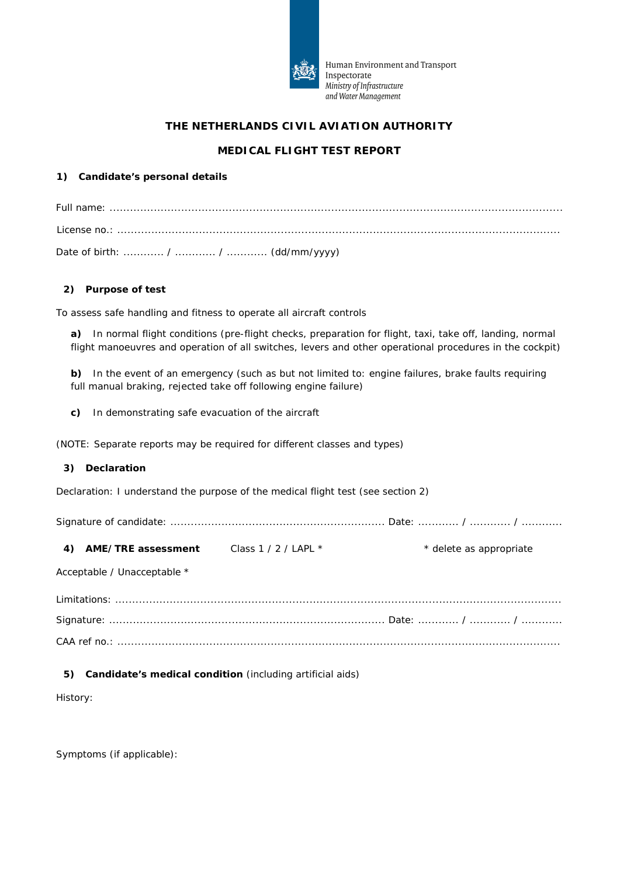

Human Environment and Transport Inspectorate Ministry of Infrastructure and Water Management

# **THE NETHERLANDS CIVIL AVIATION AUTHORITY**

# **MEDICAL FLIGHT TEST REPORT**

### **1) Candidate's personal details**

Date of birth: ............ / ............ / ............ (dd/mm/yyyy)

#### **2) Purpose of test**

To assess safe handling and fitness to operate all aircraft controls

**a)** In normal flight conditions (pre-flight checks, preparation for flight, taxi, take off, landing, normal flight manoeuvres and operation of all switches, levers and other operational procedures in the cockpit)

**b)** In the event of an emergency (such as but not limited to: engine failures, brake faults requiring full manual braking, rejected take off following engine failure)

**c)** In demonstrating safe evacuation of the aircraft

(NOTE: Separate reports may be required for different classes and types)

#### **3) Declaration**

Declaration: *I understand the purpose of the medical flight test (see section 2)*

Signature of candidate: ............................................................... Date: ............ / ............ / ............

**4) AME/TRE assessment** Class 1 / 2 / LAPL \* \* \* delete as appropriate

Acceptable / Unacceptable \*

### **5) Candidate's medical condition** (including artificial aids)

History:

Symptoms (if applicable):